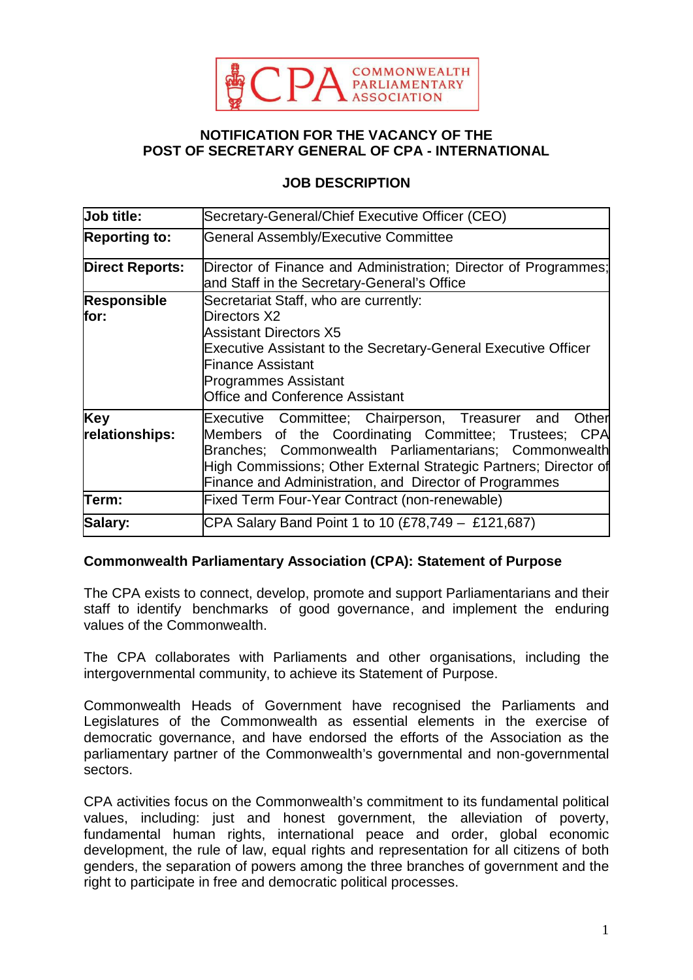

### **NOTIFICATION FOR THE VACANCY OF THE POST OF SECRETARY GENERAL OF CPA - INTERNATIONAL**

### **JOB DESCRIPTION**

| Job title:                 | Secretary-General/Chief Executive Officer (CEO)                                                                                                                                                                                                                                                         |  |  |
|----------------------------|---------------------------------------------------------------------------------------------------------------------------------------------------------------------------------------------------------------------------------------------------------------------------------------------------------|--|--|
| <b>Reporting to:</b>       | <b>General Assembly/Executive Committee</b>                                                                                                                                                                                                                                                             |  |  |
| <b>Direct Reports:</b>     | Director of Finance and Administration; Director of Programmes;<br>and Staff in the Secretary-General's Office                                                                                                                                                                                          |  |  |
| <b>Responsible</b><br>for: | Secretariat Staff, who are currently:<br>Directors X2<br><b>Assistant Directors X5</b><br>Executive Assistant to the Secretary-General Executive Officer<br><b>Finance Assistant</b><br><b>Programmes Assistant</b><br><b>Office and Conference Assistant</b>                                           |  |  |
| Key<br>relationships:      | Executive Committee; Chairperson, Treasurer and<br>Other<br>Members of the Coordinating Committee; Trustees; CPA<br>Branches; Commonwealth Parliamentarians; Commonwealth<br>High Commissions; Other External Strategic Partners; Director of<br>Finance and Administration, and Director of Programmes |  |  |
| Term:                      | <b>Fixed Term Four-Year Contract (non-renewable)</b>                                                                                                                                                                                                                                                    |  |  |
| Salary:                    | CPA Salary Band Point 1 to 10 (£78,749 – £121,687)                                                                                                                                                                                                                                                      |  |  |

#### **Commonwealth Parliamentary Association (CPA): Statement of Purpose**

The CPA exists to connect, develop, promote and support Parliamentarians and their staff to identify benchmarks of good governance, and implement the enduring values of the Commonwealth.

The CPA collaborates with Parliaments and other organisations, including the intergovernmental community, to achieve its Statement of Purpose.

Commonwealth Heads of Government have recognised the Parliaments and Legislatures of the Commonwealth as essential elements in the exercise of democratic governance, and have endorsed the efforts of the Association as the parliamentary partner of the Commonwealth's governmental and non-governmental sectors.

CPA activities focus on the Commonwealth's commitment to its fundamental political values, including: just and honest government, the alleviation of poverty, fundamental human rights, international peace and order, global economic development, the rule of law, equal rights and representation for all citizens of both genders, the separation of powers among the three branches of government and the right to participate in free and democratic political processes.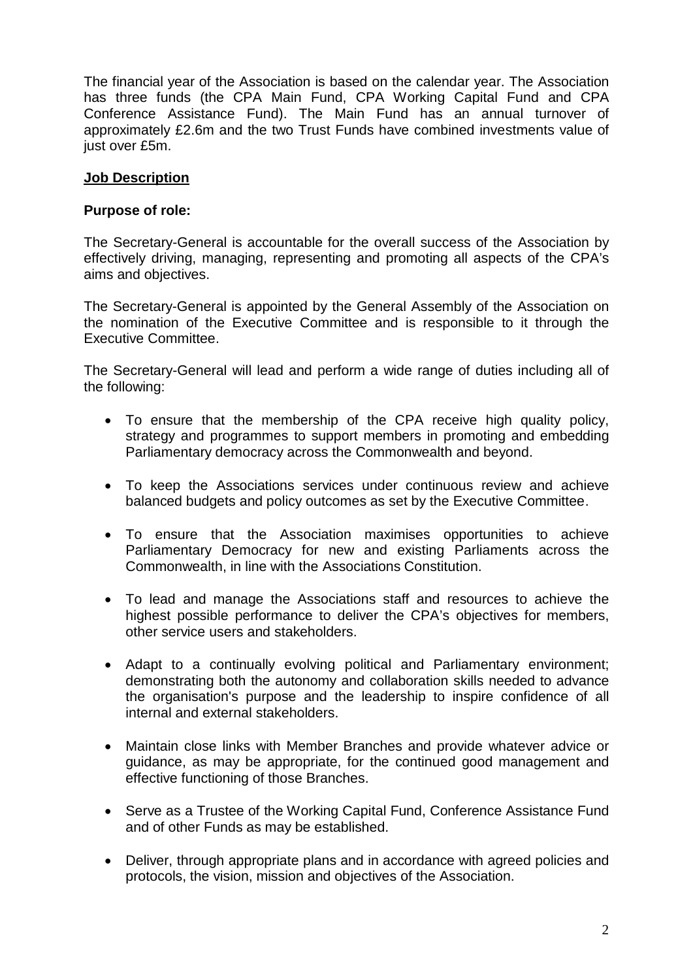The financial year of the Association is based on the calendar year. The Association has three funds (the CPA Main Fund, CPA Working Capital Fund and CPA Conference Assistance Fund). The Main Fund has an annual turnover of approximately £2.6m and the two Trust Funds have combined investments value of just over £5m.

## **Job Description**

#### **Purpose of role:**

The Secretary-General is accountable for the overall success of the Association by effectively driving, managing, representing and promoting all aspects of the CPA's aims and objectives.

The Secretary-General is appointed by the General Assembly of the Association on the nomination of the Executive Committee and is responsible to it through the Executive Committee.

The Secretary-General will lead and perform a wide range of duties including all of the following:

- To ensure that the membership of the CPA receive high quality policy, strategy and programmes to support members in promoting and embedding Parliamentary democracy across the Commonwealth and beyond.
- To keep the Associations services under continuous review and achieve balanced budgets and policy outcomes as set by the Executive Committee.
- To ensure that the Association maximises opportunities to achieve Parliamentary Democracy for new and existing Parliaments across the Commonwealth, in line with the Associations Constitution.
- To lead and manage the Associations staff and resources to achieve the highest possible performance to deliver the CPA's objectives for members, other service users and stakeholders.
- Adapt to a continually evolving political and Parliamentary environment; demonstrating both the autonomy and collaboration skills needed to advance the organisation's purpose and the leadership to inspire confidence of all internal and external stakeholders.
- Maintain close links with Member Branches and provide whatever advice or guidance, as may be appropriate, for the continued good management and effective functioning of those Branches.
- Serve as a Trustee of the Working Capital Fund, Conference Assistance Fund and of other Funds as may be established.
- Deliver, through appropriate plans and in accordance with agreed policies and protocols, the vision, mission and objectives of the Association.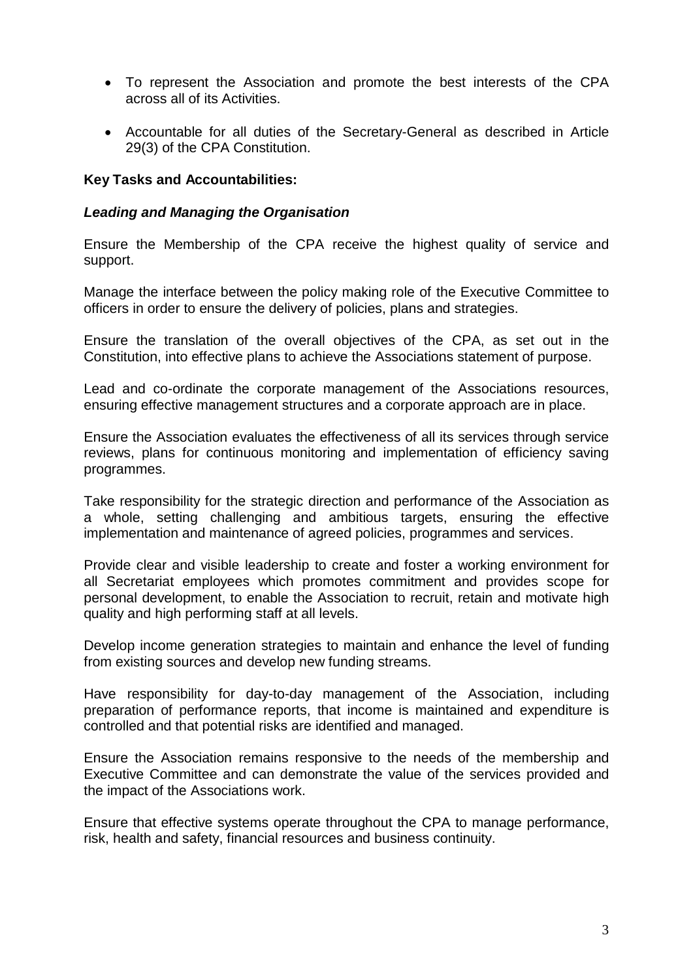- To represent the Association and promote the best interests of the CPA across all of its Activities.
- Accountable for all duties of the Secretary-General as described in Article 29(3) of the CPA Constitution.

#### **Key Tasks and Accountabilities:**

#### *Leading and Managing the Organisation*

Ensure the Membership of the CPA receive the highest quality of service and support.

Manage the interface between the policy making role of the Executive Committee to officers in order to ensure the delivery of policies, plans and strategies.

Ensure the translation of the overall objectives of the CPA, as set out in the Constitution, into effective plans to achieve the Associations statement of purpose.

Lead and co-ordinate the corporate management of the Associations resources, ensuring effective management structures and a corporate approach are in place.

Ensure the Association evaluates the effectiveness of all its services through service reviews, plans for continuous monitoring and implementation of efficiency saving programmes.

Take responsibility for the strategic direction and performance of the Association as a whole, setting challenging and ambitious targets, ensuring the effective implementation and maintenance of agreed policies, programmes and services.

Provide clear and visible leadership to create and foster a working environment for all Secretariat employees which promotes commitment and provides scope for personal development, to enable the Association to recruit, retain and motivate high quality and high performing staff at all levels.

Develop income generation strategies to maintain and enhance the level of funding from existing sources and develop new funding streams.

Have responsibility for day-to-day management of the Association, including preparation of performance reports, that income is maintained and expenditure is controlled and that potential risks are identified and managed.

Ensure the Association remains responsive to the needs of the membership and Executive Committee and can demonstrate the value of the services provided and the impact of the Associations work.

Ensure that effective systems operate throughout the CPA to manage performance, risk, health and safety, financial resources and business continuity.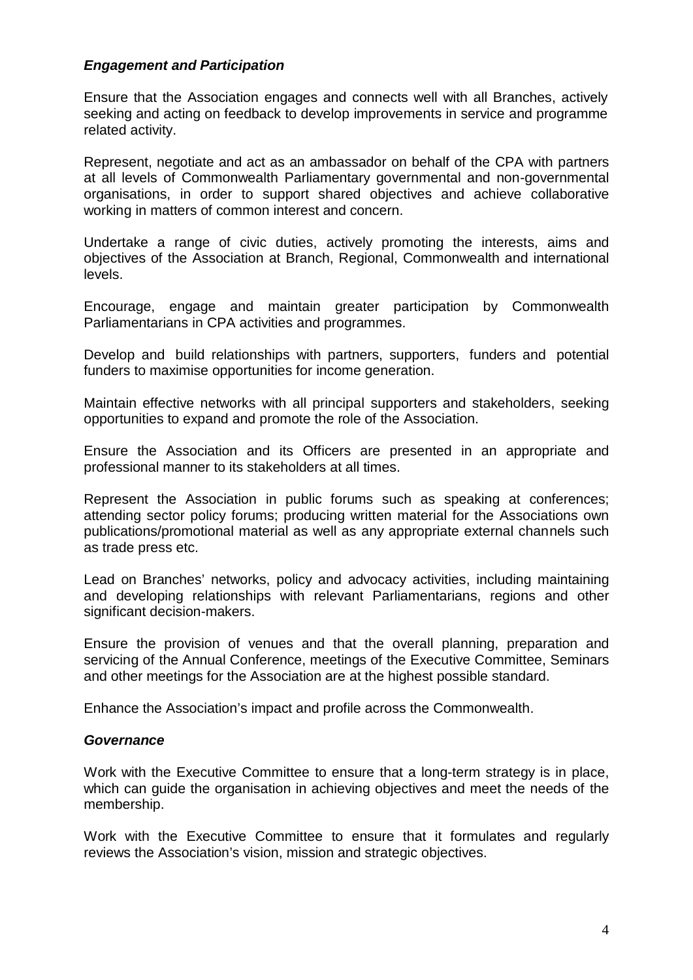#### *Engagement and Participation*

Ensure that the Association engages and connects well with all Branches, actively seeking and acting on feedback to develop improvements in service and programme related activity.

Represent, negotiate and act as an ambassador on behalf of the CPA with partners at all levels of Commonwealth Parliamentary governmental and non-governmental organisations, in order to support shared objectives and achieve collaborative working in matters of common interest and concern.

Undertake a range of civic duties, actively promoting the interests, aims and objectives of the Association at Branch, Regional, Commonwealth and international levels.

Encourage, engage and maintain greater participation by Commonwealth Parliamentarians in CPA activities and programmes.

Develop and build relationships with partners, supporters, funders and potential funders to maximise opportunities for income generation.

Maintain effective networks with all principal supporters and stakeholders, seeking opportunities to expand and promote the role of the Association.

Ensure the Association and its Officers are presented in an appropriate and professional manner to its stakeholders at all times.

Represent the Association in public forums such as speaking at conferences; attending sector policy forums; producing written material for the Associations own publications/promotional material as well as any appropriate external channels such as trade press etc.

Lead on Branches' networks, policy and advocacy activities, including maintaining and developing relationships with relevant Parliamentarians, regions and other significant decision-makers.

Ensure the provision of venues and that the overall planning, preparation and servicing of the Annual Conference, meetings of the Executive Committee, Seminars and other meetings for the Association are at the highest possible standard.

Enhance the Association's impact and profile across the Commonwealth.

#### *Governance*

Work with the Executive Committee to ensure that a long-term strategy is in place, which can guide the organisation in achieving objectives and meet the needs of the membership.

Work with the Executive Committee to ensure that it formulates and regularly reviews the Association's vision, mission and strategic objectives.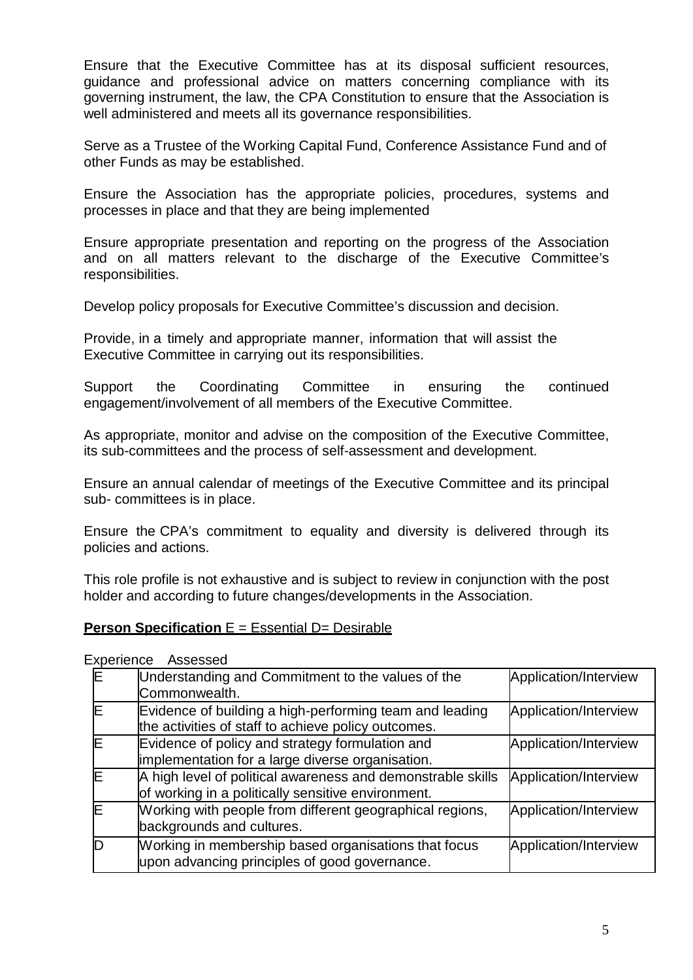Ensure that the Executive Committee has at its disposal sufficient resources, guidance and professional advice on matters concerning compliance with its governing instrument, the law, the CPA Constitution to ensure that the Association is well administered and meets all its governance responsibilities.

Serve as a Trustee of the Working Capital Fund, Conference Assistance Fund and of other Funds as may be established.

Ensure the Association has the appropriate policies, procedures, systems and processes in place and that they are being implemented

Ensure appropriate presentation and reporting on the progress of the Association and on all matters relevant to the discharge of the Executive Committee's responsibilities.

Develop policy proposals for Executive Committee's discussion and decision.

Provide, in a timely and appropriate manner, information that will assist the Executive Committee in carrying out its responsibilities.

Support the Coordinating Committee in ensuring the continued engagement/involvement of all members of the Executive Committee.

As appropriate, monitor and advise on the composition of the Executive Committee, its sub-committees and the process of self-assessment and development.

Ensure an annual calendar of meetings of the Executive Committee and its principal sub- committees is in place.

Ensure the CPA's commitment to equality and diversity is delivered through its policies and actions.

This role profile is not exhaustive and is subject to review in conjunction with the post holder and according to future changes/developments in the Association.

#### **Person Specification** E = Essential D= Desirable

Experience Assessed

| Understanding and Commitment to the values of the<br>Commonwealth.                                                | Application/Interview |
|-------------------------------------------------------------------------------------------------------------------|-----------------------|
| Evidence of building a high-performing team and leading<br>the activities of staff to achieve policy outcomes.    | Application/Interview |
| Evidence of policy and strategy formulation and<br>implementation for a large diverse organisation.               | Application/Interview |
| A high level of political awareness and demonstrable skills<br>of working in a politically sensitive environment. | Application/Interview |
| Working with people from different geographical regions,<br>backgrounds and cultures.                             | Application/Interview |
| Working in membership based organisations that focus<br>upon advancing principles of good governance.             | Application/Interview |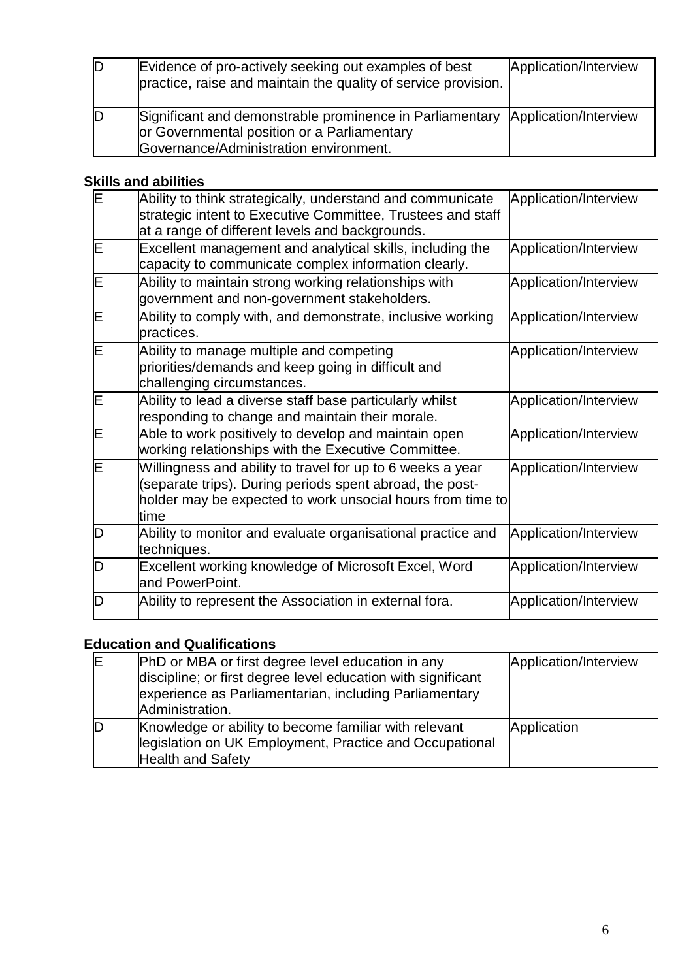| ID | Evidence of pro-actively seeking out examples of best<br>practice, raise and maintain the quality of service provision.                                                 | Application/Interview |
|----|-------------------------------------------------------------------------------------------------------------------------------------------------------------------------|-----------------------|
| ID | Significant and demonstrable prominence in Parliamentary Application/Interview<br>or Governmental position or a Parliamentary<br>Governance/Administration environment. |                       |

# **Skills and abilities**

| ΙE | Ability to think strategically, understand and communicate<br>strategic intent to Executive Committee, Trustees and staff<br>at a range of different levels and backgrounds.                  | Application/Interview |
|----|-----------------------------------------------------------------------------------------------------------------------------------------------------------------------------------------------|-----------------------|
| E  | Excellent management and analytical skills, including the<br>capacity to communicate complex information clearly.                                                                             | Application/Interview |
| E  | Ability to maintain strong working relationships with<br>government and non-government stakeholders.                                                                                          | Application/Interview |
| E  | Ability to comply with, and demonstrate, inclusive working<br>practices.                                                                                                                      | Application/Interview |
| E  | Ability to manage multiple and competing<br>priorities/demands and keep going in difficult and<br>challenging circumstances.                                                                  | Application/Interview |
| E  | Ability to lead a diverse staff base particularly whilst<br>responding to change and maintain their morale.                                                                                   | Application/Interview |
| E  | Able to work positively to develop and maintain open<br>working relationships with the Executive Committee.                                                                                   | Application/Interview |
| E  | Willingness and ability to travel for up to 6 weeks a year<br>(separate trips). During periods spent abroad, the post-<br>holder may be expected to work unsocial hours from time to<br>ltime | Application/Interview |
| D  | Ability to monitor and evaluate organisational practice and<br>techniques.                                                                                                                    | Application/Interview |
| D  | Excellent working knowledge of Microsoft Excel, Word<br>and PowerPoint.                                                                                                                       | Application/Interview |
| D  | Ability to represent the Association in external fora.                                                                                                                                        | Application/Interview |

# **Education and Qualifications**

| ΙE | PhD or MBA or first degree level education in any                                                                                            | Application/Interview |
|----|----------------------------------------------------------------------------------------------------------------------------------------------|-----------------------|
|    | discipline; or first degree level education with significant<br>experience as Parliamentarian, including Parliamentary<br>Administration.    |                       |
|    | Knowledge or ability to become familiar with relevant<br>legislation on UK Employment, Practice and Occupational<br><b>Health and Safety</b> | Application           |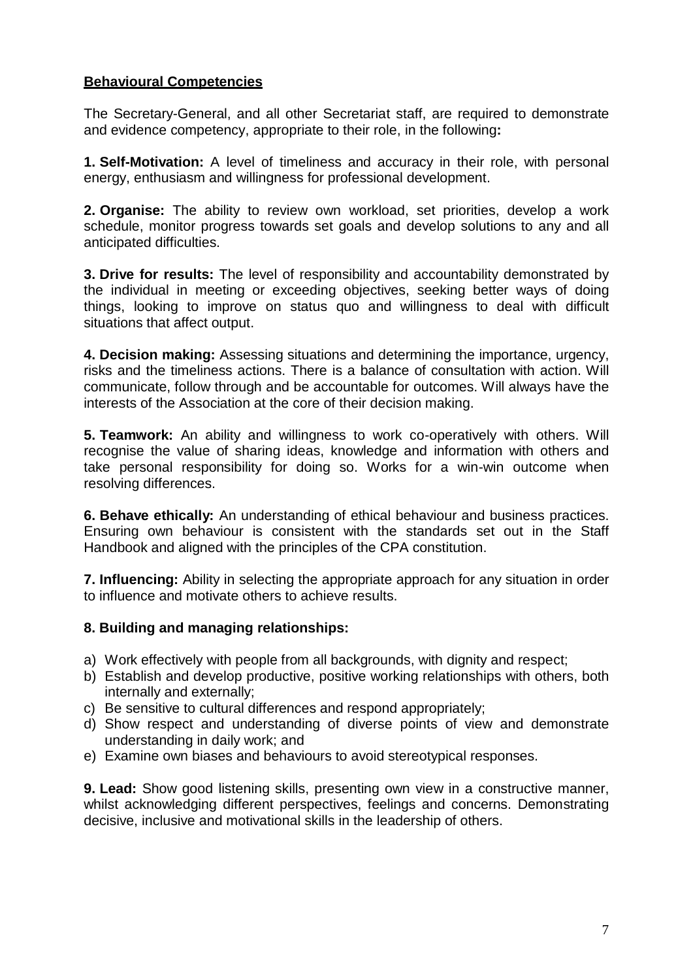# **Behavioural Competencies**

The Secretary-General, and all other Secretariat staff, are required to demonstrate and evidence competency, appropriate to their role, in the following**:**

**1. Self-Motivation:** A level of timeliness and accuracy in their role, with personal energy, enthusiasm and willingness for professional development.

**2. Organise:** The ability to review own workload, set priorities, develop a work schedule, monitor progress towards set goals and develop solutions to any and all anticipated difficulties.

**3. Drive for results:** The level of responsibility and accountability demonstrated by the individual in meeting or exceeding objectives, seeking better ways of doing things, looking to improve on status quo and willingness to deal with difficult situations that affect output.

**4. Decision making:** Assessing situations and determining the importance, urgency, risks and the timeliness actions. There is a balance of consultation with action. Will communicate, follow through and be accountable for outcomes. Will always have the interests of the Association at the core of their decision making.

**5. Teamwork:** An ability and willingness to work co-operatively with others. Will recognise the value of sharing ideas, knowledge and information with others and take personal responsibility for doing so. Works for a win-win outcome when resolving differences.

**6. Behave ethically:** An understanding of ethical behaviour and business practices. Ensuring own behaviour is consistent with the standards set out in the Staff Handbook and aligned with the principles of the CPA constitution.

**7. Influencing:** Ability in selecting the appropriate approach for any situation in order to influence and motivate others to achieve results.

## **8. Building and managing relationships:**

- a) Work effectively with people from all backgrounds, with dignity and respect;
- b) Establish and develop productive, positive working relationships with others, both internally and externally;
- c) Be sensitive to cultural differences and respond appropriately;
- d) Show respect and understanding of diverse points of view and demonstrate understanding in daily work; and
- e) Examine own biases and behaviours to avoid stereotypical responses.

**9. Lead:** Show good listening skills, presenting own view in a constructive manner, whilst acknowledging different perspectives, feelings and concerns. Demonstrating decisive, inclusive and motivational skills in the leadership of others.